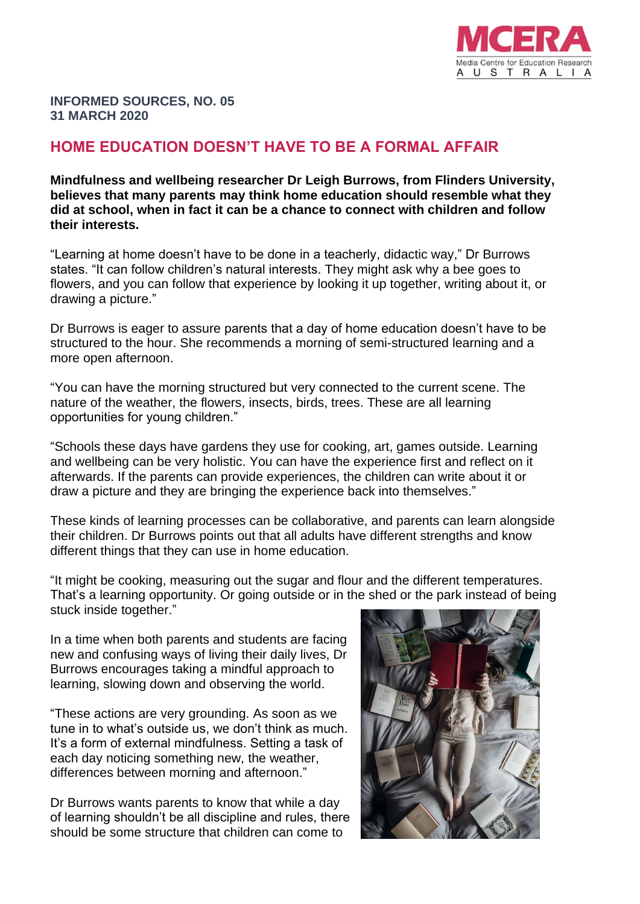

**INFORMED SOURCES, NO. 05 31 MARCH 2020**

## **HOME EDUCATION DOESN'T HAVE TO BE A FORMAL AFFAIR**

**Mindfulness and wellbeing researcher Dr Leigh Burrows, from Flinders University, believes that many parents may think home education should resemble what they did at school, when in fact it can be a chance to connect with children and follow their interests.** 

"Learning at home doesn't have to be done in a teacherly, didactic way," Dr Burrows states. "It can follow children's natural interests. They might ask why a bee goes to flowers, and you can follow that experience by looking it up together, writing about it, or drawing a picture."

Dr Burrows is eager to assure parents that a day of home education doesn't have to be structured to the hour. She recommends a morning of semi-structured learning and a more open afternoon.

"You can have the morning structured but very connected to the current scene. The nature of the weather, the flowers, insects, birds, trees. These are all learning opportunities for young children."

"Schools these days have gardens they use for cooking, art, games outside. Learning and wellbeing can be very holistic. You can have the experience first and reflect on it afterwards. If the parents can provide experiences, the children can write about it or draw a picture and they are bringing the experience back into themselves."

These kinds of learning processes can be collaborative, and parents can learn alongside their children. Dr Burrows points out that all adults have different strengths and know different things that they can use in home education.

"It might be cooking, measuring out the sugar and flour and the different temperatures. That's a learning opportunity. Or going outside or in the shed or the park instead of being stuck inside together."

In a time when both parents and students are facing new and confusing ways of living their daily lives, Dr Burrows encourages taking a mindful approach to learning, slowing down and observing the world.

"These actions are very grounding. As soon as we tune in to what's outside us, we don't think as much. It's a form of external mindfulness. Setting a task of each day noticing something new, the weather, differences between morning and afternoon."

Dr Burrows wants parents to know that while a day of learning shouldn't be all discipline and rules, there should be some structure that children can come to